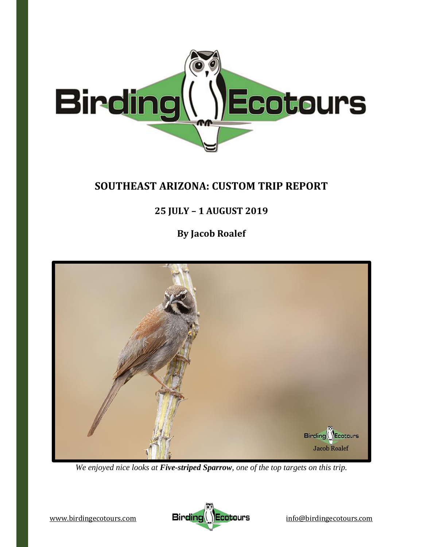

# **SOUTHEAST ARIZONA: CUSTOM TRIP REPORT**

# **25 JULY – 1 AUGUST 2019**

**By Jacob Roalef**



*We enjoyed nice looks at Five-striped Sparrow, one of the top targets on this trip.*

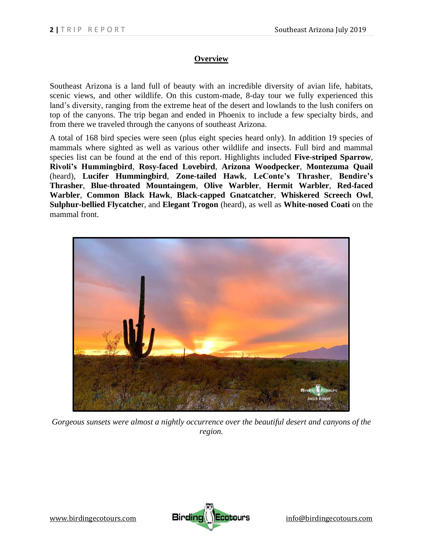# **Overview**

Southeast Arizona is a land full of beauty with an incredible diversity of avian life, habitats, scenic views, and other wildlife. On this custom-made, 8-day tour we fully experienced this land's diversity, ranging from the extreme heat of the desert and lowlands to the lush conifers on top of the canyons. The trip began and ended in Phoenix to include a few specialty birds, and from there we traveled through the canyons of southeast Arizona.

A total of 168 bird species were seen (plus eight species heard only). In addition 19 species of mammals where sighted as well as various other wildlife and insects. Full bird and mammal species list can be found at the end of this report. Highlights included **Five-striped Sparrow**, **Rivoli's Hummingbird**, **Rosy-faced Lovebird**, **Arizona Woodpecker**, **Montezuma Quail**  (heard), **Lucifer Hummingbird**, **Zone-tailed Hawk**, **LeConte's Thrasher**, **Bendire's Thrasher**, **Blue-throated Mountaingem**, **Olive Warbler**, **Hermit Warbler**, **Red-faced Warbler**, **Common Black Hawk**, **Black-capped Gnatcatcher**, **Whiskered Screech Owl**, **Sulphur-bellied Flycatche**r, and **Elegant Trogon** (heard), as well as **White-nosed Coati** on the mammal front.



*Gorgeous sunsets were almost a nightly occurrence over the beautiful desert and canyons of the region.*

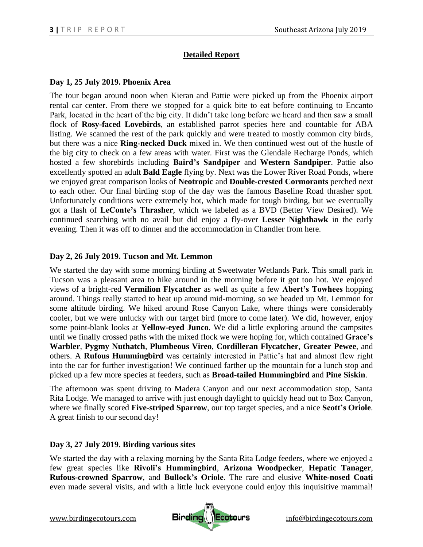# **Detailed Report**

#### **Day 1, 25 July 2019. Phoenix Area**

The tour began around noon when Kieran and Pattie were picked up from the Phoenix airport rental car center. From there we stopped for a quick bite to eat before continuing to Encanto Park, located in the heart of the big city. It didn't take long before we heard and then saw a small flock of **Rosy-faced Lovebirds**, an established parrot species here and countable for ABA listing. We scanned the rest of the park quickly and were treated to mostly common city birds, but there was a nice **Ring-necked Duck** mixed in. We then continued west out of the hustle of the big city to check on a few areas with water. First was the Glendale Recharge Ponds, which hosted a few shorebirds including **Baird's Sandpiper** and **Western Sandpiper**. Pattie also excellently spotted an adult **Bald Eagle** flying by. Next was the Lower River Road Ponds, where we enjoyed great comparison looks of **Neotropic** and **Double-crested Cormorants** perched next to each other. Our final birding stop of the day was the famous Baseline Road thrasher spot. Unfortunately conditions were extremely hot, which made for tough birding, but we eventually got a flash of **LeConte's Thrasher**, which we labeled as a BVD (Better View Desired). We continued searching with no avail but did enjoy a fly-over **Lesser Nighthawk** in the early evening. Then it was off to dinner and the accommodation in Chandler from here.

### **Day 2, 26 July 2019. Tucson and Mt. Lemmon**

We started the day with some morning birding at Sweetwater Wetlands Park. This small park in Tucson was a pleasant area to hike around in the morning before it got too hot. We enjoyed views of a bright-red **Vermilion Flycatcher** as well as quite a few **Abert's Towhees** hopping around. Things really started to heat up around mid-morning, so we headed up Mt. Lemmon for some altitude birding. We hiked around Rose Canyon Lake, where things were considerably cooler, but we were unlucky with our target bird (more to come later). We did, however, enjoy some point-blank looks at **Yellow-eyed Junco**. We did a little exploring around the campsites until we finally crossed paths with the mixed flock we were hoping for, which contained **Grace's Warbler**, **Pygmy Nuthatch**, **Plumbeous Vireo**, **Cordilleran Flycatcher**, **Greater Pewee**, and others. A **Rufous Hummingbird** was certainly interested in Pattie's hat and almost flew right into the car for further investigation! We continued farther up the mountain for a lunch stop and picked up a few more species at feeders, such as **Broad-tailed Hummingbird** and **Pine Siskin**.

The afternoon was spent driving to Madera Canyon and our next accommodation stop, Santa Rita Lodge. We managed to arrive with just enough daylight to quickly head out to Box Canyon, where we finally scored **Five-striped Sparrow**, our top target species, and a nice **Scott's Oriole**. A great finish to our second day!

## **Day 3, 27 July 2019. Birding various sites**

We started the day with a relaxing morning by the Santa Rita Lodge feeders, where we enjoyed a few great species like **Rivoli's Hummingbird**, **Arizona Woodpecker**, **Hepatic Tanager**, **Rufous-crowned Sparrow**, and **Bullock's Oriole**. The rare and elusive **White-nosed Coati** even made several visits, and with a little luck everyone could enjoy this inquisitive mammal!

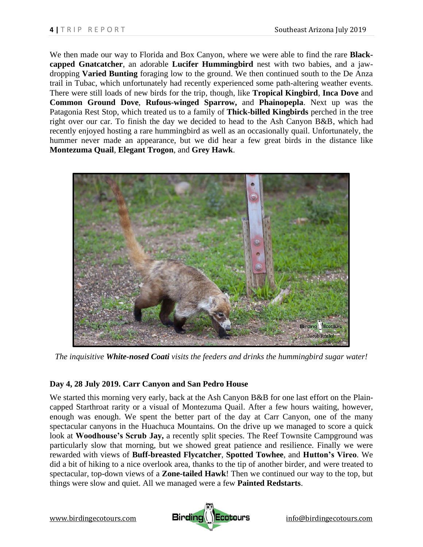We then made our way to Florida and Box Canyon, where we were able to find the rare **Blackcapped Gnatcatcher**, an adorable **Lucifer Hummingbird** nest with two babies, and a jawdropping **Varied Bunting** foraging low to the ground. We then continued south to the De Anza trail in Tubac, which unfortunately had recently experienced some path-altering weather events. There were still loads of new birds for the trip, though, like **Tropical Kingbird**, **Inca Dove** and **Common Ground Dove**, **Rufous-winged Sparrow,** and **Phainopepla**. Next up was the Patagonia Rest Stop, which treated us to a family of **Thick-billed Kingbirds** perched in the tree right over our car. To finish the day we decided to head to the Ash Canyon B&B, which had recently enjoyed hosting a rare hummingbird as well as an occasionally quail. Unfortunately, the hummer never made an appearance, but we did hear a few great birds in the distance like **Montezuma Quail**, **Elegant Trogon**, and **Grey Hawk**.



*The inquisitive White-nosed Coati visits the feeders and drinks the hummingbird sugar water!*

#### **Day 4, 28 July 2019. Carr Canyon and San Pedro House**

We started this morning very early, back at the Ash Canyon B&B for one last effort on the Plaincapped Starthroat rarity or a visual of Montezuma Quail. After a few hours waiting, however, enough was enough. We spent the better part of the day at Carr Canyon, one of the many spectacular canyons in the Huachuca Mountains. On the drive up we managed to score a quick look at **Woodhouse's Scrub Jay,** a recently split species. The Reef Townsite Campground was particularly slow that morning, but we showed great patience and resilience. Finally we were rewarded with views of **Buff-breasted Flycatcher**, **Spotted Towhee**, and **Hutton's Vireo**. We did a bit of hiking to a nice overlook area, thanks to the tip of another birder, and were treated to spectacular, top-down views of a **Zone-tailed Hawk**! Then we continued our way to the top, but things were slow and quiet. All we managed were a few **Painted Redstarts**.

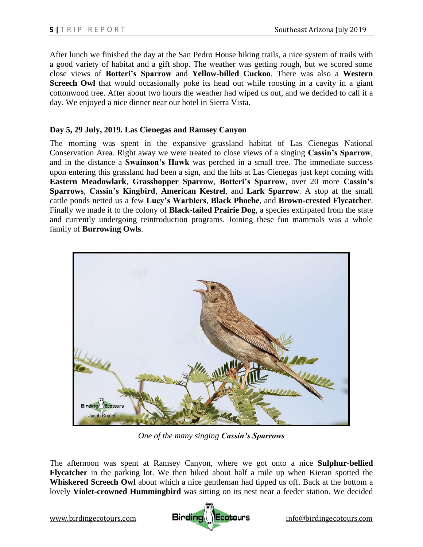After lunch we finished the day at the San Pedro House hiking trails, a nice system of trails with a good variety of habitat and a gift shop. The weather was getting rough, but we scored some close views of **Botteri's Sparrow** and **Yellow-billed Cuckoo**. There was also a **Western Screech Owl** that would occasionally poke its head out while roosting in a cavity in a giant cottonwood tree. After about two hours the weather had wiped us out, and we decided to call it a day. We enjoyed a nice dinner near our hotel in Sierra Vista.

#### **Day 5, 29 July, 2019. Las Cienegas and Ramsey Canyon**

The morning was spent in the expansive grassland habitat of Las Cienegas National Conservation Area. Right away we were treated to close views of a singing **Cassin's Sparrow**, and in the distance a **Swainson's Hawk** was perched in a small tree. The immediate success upon entering this grassland had been a sign, and the hits at Las Cienegas just kept coming with **Eastern Meadowlark**, **Grasshopper Sparrow**, **Botteri's Sparrow**, over 20 more **Cassin's Sparrows**, **Cassin's Kingbird**, **American Kestrel**, and **Lark Sparrow**. A stop at the small cattle ponds netted us a few **Lucy's Warblers**, **Black Phoebe**, and **Brown-crested Flycatcher**. Finally we made it to the colony of **Black-tailed Prairie Dog**, a species extirpated from the state and currently undergoing reintroduction programs. Joining these fun mammals was a whole family of **Burrowing Owls**.



*One of the many singing Cassin's Sparrows*

The afternoon was spent at Ramsey Canyon, where we got onto a nice **Sulphur-bellied Flycatcher** in the parking lot. We then hiked about half a mile up when Kieran spotted the **Whiskered Screech Owl** about which a nice gentleman had tipped us off. Back at the bottom a lovely **Violet-crowned Hummingbird** was sitting on its nest near a feeder station. We decided

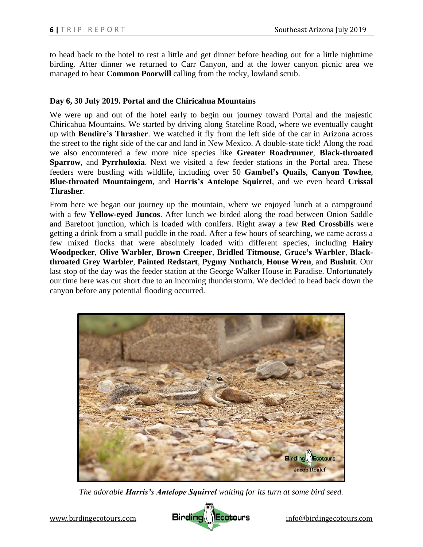to head back to the hotel to rest a little and get dinner before heading out for a little nighttime birding. After dinner we returned to Carr Canyon, and at the lower canyon picnic area we managed to hear **Common Poorwill** calling from the rocky, lowland scrub.

#### **Day 6, 30 July 2019. Portal and the Chiricahua Mountains**

We were up and out of the hotel early to begin our journey toward Portal and the majestic Chiricahua Mountains. We started by driving along Stateline Road, where we eventually caught up with **Bendire's Thrasher**. We watched it fly from the left side of the car in Arizona across the street to the right side of the car and land in New Mexico. A double-state tick! Along the road we also encountered a few more nice species like **Greater Roadrunner**, **Black-throated Sparrow**, and **Pyrrhuloxia**. Next we visited a few feeder stations in the Portal area. These feeders were bustling with wildlife, including over 50 **Gambel's Quails**, **Canyon Towhee**, **Blue-throated Mountaingem**, and **Harris's Antelope Squirrel**, and we even heard **Crissal Thrasher**.

From here we began our journey up the mountain, where we enjoyed lunch at a campground with a few **Yellow-eyed Juncos**. After lunch we birded along the road between Onion Saddle and Barefoot junction, which is loaded with conifers. Right away a few **Red Crossbills** were getting a drink from a small puddle in the road. After a few hours of searching, we came across a few mixed flocks that were absolutely loaded with different species, including **Hairy Woodpecker**, **Olive Warbler**, **Brown Creeper**, **Bridled Titmouse**, **Grace's Warbler**, **Blackthroated Grey Warbler**, **Painted Redstart**, **Pygmy Nuthatch**, **House Wren**, and **Bushtit**. Our last stop of the day was the feeder station at the George Walker House in Paradise. Unfortunately our time here was cut short due to an incoming thunderstorm. We decided to head back down the canyon before any potential flooding occurred.



*The adorable Harris's Antelope Squirrel waiting for its turn at some bird seed.*

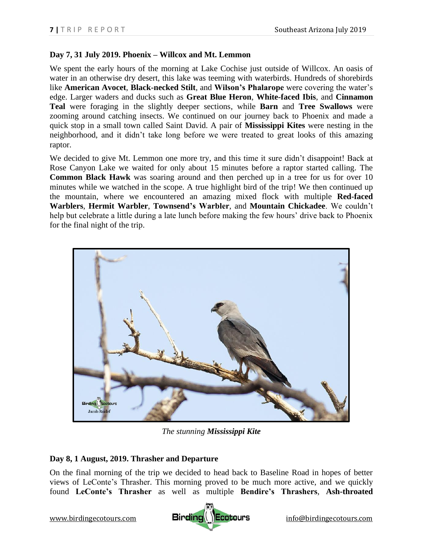### **Day 7, 31 July 2019. Phoenix – Willcox and Mt. Lemmon**

We spent the early hours of the morning at Lake Cochise just outside of Willcox. An oasis of water in an otherwise dry desert, this lake was teeming with waterbirds. Hundreds of shorebirds like **American Avocet**, **Black-necked Stilt**, and **Wilson's Phalarope** were covering the water's edge. Larger waders and ducks such as **Great Blue Heron**, **White-faced Ibis**, and **Cinnamon Teal** were foraging in the slightly deeper sections, while **Barn** and **Tree Swallows** were zooming around catching insects. We continued on our journey back to Phoenix and made a quick stop in a small town called Saint David. A pair of **Mississippi Kites** were nesting in the neighborhood, and it didn't take long before we were treated to great looks of this amazing raptor.

We decided to give Mt. Lemmon one more try, and this time it sure didn't disappoint! Back at Rose Canyon Lake we waited for only about 15 minutes before a raptor started calling. The **Common Black Hawk** was soaring around and then perched up in a tree for us for over 10 minutes while we watched in the scope. A true highlight bird of the trip! We then continued up the mountain, where we encountered an amazing mixed flock with multiple **Red-faced Warblers**, **Hermit Warbler**, **Townsend's Warbler**, and **Mountain Chickadee**. We couldn't help but celebrate a little during a late lunch before making the few hours' drive back to Phoenix for the final night of the trip.



*The stunning Mississippi Kite*

## **Day 8, 1 August, 2019. Thrasher and Departure**

On the final morning of the trip we decided to head back to Baseline Road in hopes of better views of LeConte's Thrasher. This morning proved to be much more active, and we quickly found **LeConte's Thrasher** as well as multiple **Bendire's Thrashers**, **Ash-throated** 

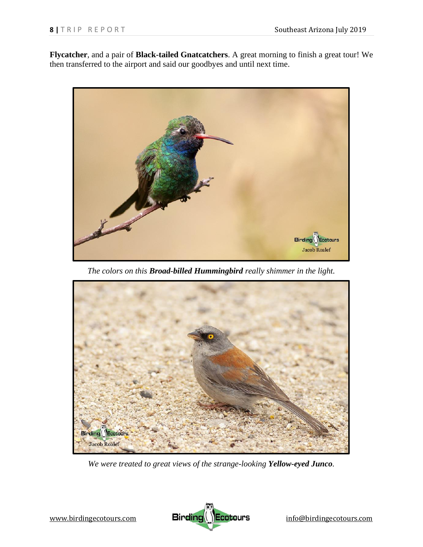**Flycatcher**, and a pair of **Black-tailed Gnatcatchers**. A great morning to finish a great tour! We then transferred to the airport and said our goodbyes and until next time.



*The colors on this Broad-billed Hummingbird really shimmer in the light.*



*We were treated to great views of the strange-looking Yellow-eyed Junco.*

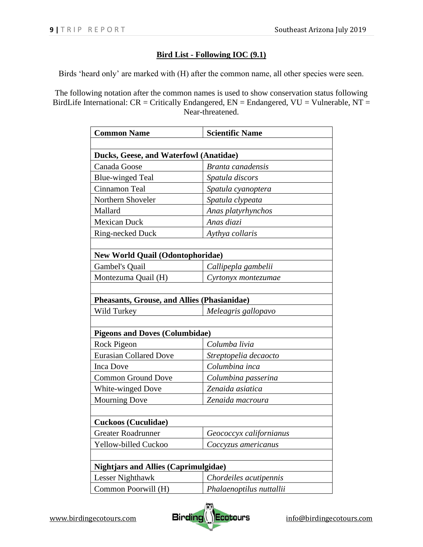# **Bird List - Following IOC (9.1)**

Birds 'heard only' are marked with (H) after the common name, all other species were seen.

The following notation after the common names is used to show conservation status following BirdLife International:  $CR = Critically$  Endangered,  $EN =$  Endangered,  $VU =$  Vulnerable,  $NT =$ Near-threatened.

| <b>Common Name</b>                                 | <b>Scientific Name</b>   |  |
|----------------------------------------------------|--------------------------|--|
|                                                    |                          |  |
| Ducks, Geese, and Waterfowl (Anatidae)             |                          |  |
| Canada Goose                                       | Branta canadensis        |  |
| <b>Blue-winged Teal</b>                            | Spatula discors          |  |
| Cinnamon Teal                                      | Spatula cyanoptera       |  |
| Northern Shoveler                                  | Spatula clypeata         |  |
| Mallard                                            | Anas platyrhynchos       |  |
| <b>Mexican Duck</b>                                | Anas diazi               |  |
| Ring-necked Duck                                   | Aythya collaris          |  |
|                                                    |                          |  |
| <b>New World Quail (Odontophoridae)</b>            |                          |  |
| Gambel's Quail                                     | Callipepla gambelii      |  |
| Montezuma Quail (H)                                | Cyrtonyx montezumae      |  |
|                                                    |                          |  |
| <b>Pheasants, Grouse, and Allies (Phasianidae)</b> |                          |  |
| Wild Turkey                                        | Meleagris gallopavo      |  |
|                                                    |                          |  |
| <b>Pigeons and Doves (Columbidae)</b>              |                          |  |
| Rock Pigeon                                        | Columba livia            |  |
| <b>Eurasian Collared Dove</b>                      | Streptopelia decaocto    |  |
| <b>Inca Dove</b>                                   | Columbina inca           |  |
| <b>Common Ground Dove</b>                          | Columbina passerina      |  |
| White-winged Dove                                  | Zenaida asiatica         |  |
| <b>Mourning Dove</b>                               | Zenaida macroura         |  |
|                                                    |                          |  |
| <b>Cuckoos (Cuculidae)</b>                         |                          |  |
| <b>Greater Roadrunner</b>                          | Geococcyx californianus  |  |
| Yellow-billed Cuckoo                               | Coccyzus americanus      |  |
|                                                    |                          |  |
| <b>Nightjars and Allies (Caprimulgidae)</b>        |                          |  |
| Lesser Nighthawk                                   | Chordeiles acutipennis   |  |
| Common Poorwill (H)                                | Phalaenoptilus nuttallii |  |

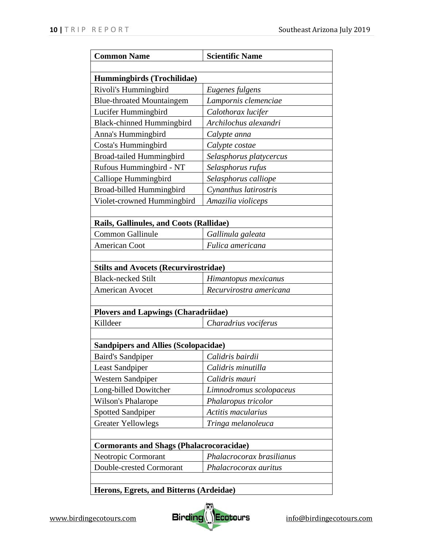| <b>Common Name</b>                              | <b>Scientific Name</b>    |
|-------------------------------------------------|---------------------------|
|                                                 |                           |
| Hummingbirds (Trochilidae)                      |                           |
| Rivoli's Hummingbird                            | Eugenes fulgens           |
| <b>Blue-throated Mountaingem</b>                | Lampornis clemenciae      |
| Lucifer Hummingbird                             | Calothorax lucifer        |
| <b>Black-chinned Hummingbird</b>                | Archilochus alexandri     |
| Anna's Hummingbird                              | Calypte anna              |
| Costa's Hummingbird                             | Calypte costae            |
| Broad-tailed Hummingbird                        | Selasphorus platycercus   |
| Rufous Hummingbird - NT                         | Selasphorus rufus         |
| Calliope Hummingbird                            | Selasphorus calliope      |
| Broad-billed Hummingbird                        | Cynanthus latirostris     |
| Violet-crowned Hummingbird                      | Amazilia violiceps        |
|                                                 |                           |
| Rails, Gallinules, and Coots (Rallidae)         |                           |
| <b>Common Gallinule</b>                         | Gallinula galeata         |
| <b>American Coot</b>                            | Fulica americana          |
|                                                 |                           |
| <b>Stilts and Avocets (Recurvirostridae)</b>    |                           |
| <b>Black-necked Stilt</b>                       | Himantopus mexicanus      |
| <b>American Avocet</b>                          | Recurvirostra americana   |
|                                                 |                           |
| <b>Plovers and Lapwings (Charadriidae)</b>      |                           |
| Killdeer                                        | Charadrius vociferus      |
|                                                 |                           |
| <b>Sandpipers and Allies (Scolopacidae)</b>     |                           |
| <b>Baird's Sandpiper</b>                        | Calidris bairdii          |
| <b>Least Sandpiper</b>                          | Calidris minutilla        |
| <b>Western Sandpiper</b>                        | Calidris mauri            |
| Long-billed Dowitcher                           | Limnodromus scolopaceus   |
| Wilson's Phalarope                              | Phalaropus tricolor       |
| <b>Spotted Sandpiper</b>                        | Actitis macularius        |
| <b>Greater Yellowlegs</b>                       | Tringa melanoleuca        |
|                                                 |                           |
| <b>Cormorants and Shags (Phalacrocoracidae)</b> |                           |
| Neotropic Cormorant                             | Phalacrocorax brasilianus |
| Double-crested Cormorant                        | Phalacrocorax auritus     |
|                                                 |                           |
|                                                 |                           |

**Herons, Egrets, and Bitterns (Ardeidae)**

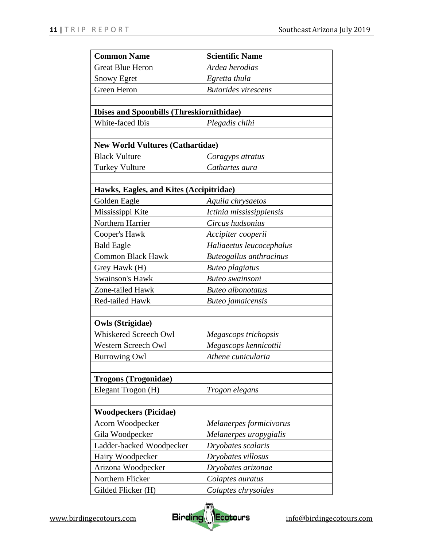| <b>Common Name</b>                               | <b>Scientific Name</b>     |  |
|--------------------------------------------------|----------------------------|--|
| <b>Great Blue Heron</b>                          | Ardea herodias             |  |
| <b>Snowy Egret</b>                               | Egretta thula              |  |
| Green Heron                                      | <b>Butorides</b> virescens |  |
|                                                  |                            |  |
| <b>Ibises and Spoonbills (Threskiornithidae)</b> |                            |  |
| White-faced Ibis                                 | Plegadis chihi             |  |
|                                                  |                            |  |
| <b>New World Vultures (Cathartidae)</b>          |                            |  |
| <b>Black Vulture</b>                             | Coragyps atratus           |  |
| <b>Turkey Vulture</b>                            | Cathartes aura             |  |
|                                                  |                            |  |
| Hawks, Eagles, and Kites (Accipitridae)          |                            |  |
| Golden Eagle                                     | Aquila chrysaetos          |  |
| Mississippi Kite                                 | Ictinia mississippiensis   |  |
| Northern Harrier                                 | Circus hudsonius           |  |
| Cooper's Hawk                                    | Accipiter cooperii         |  |
| <b>Bald Eagle</b>                                | Haliaeetus leucocephalus   |  |
| <b>Common Black Hawk</b>                         | Buteogallus anthracinus    |  |
| Grey Hawk (H)                                    | <b>Buteo</b> plagiatus     |  |
| <b>Swainson's Hawk</b>                           | Buteo swainsoni            |  |
| Zone-tailed Hawk                                 | <b>Buteo</b> albonotatus   |  |
| Red-tailed Hawk                                  | Buteo jamaicensis          |  |
|                                                  |                            |  |
| <b>Owls (Strigidae)</b>                          |                            |  |
| Whiskered Screech Owl                            | Megascops trichopsis       |  |
| <b>Western Screech Owl</b>                       | Megascops kennicottii      |  |
| <b>Burrowing Owl</b>                             | Athene cunicularia         |  |
|                                                  |                            |  |
| <b>Trogons (Trogonidae)</b>                      |                            |  |
| Elegant Trogon (H)                               | Trogon elegans             |  |
|                                                  |                            |  |
| <b>Woodpeckers (Picidae)</b>                     |                            |  |
| Acorn Woodpecker                                 | Melanerpes formicivorus    |  |
| Gila Woodpecker                                  | Melanerpes uropygialis     |  |
| Ladder-backed Woodpecker                         | Dryobates scalaris         |  |
| Hairy Woodpecker                                 | Dryobates villosus         |  |
| Arizona Woodpecker                               | Dryobates arizonae         |  |
| Northern Flicker                                 | Colaptes auratus           |  |
| Gilded Flicker (H)                               | Colaptes chrysoides        |  |

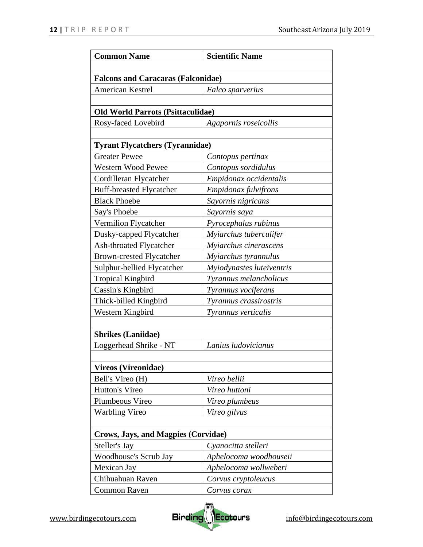| <b>Common Name</b>                         | <b>Scientific Name</b>    |  |
|--------------------------------------------|---------------------------|--|
|                                            |                           |  |
| <b>Falcons and Caracaras (Falconidae)</b>  |                           |  |
| <b>American Kestrel</b>                    | Falco sparverius          |  |
|                                            |                           |  |
| <b>Old World Parrots (Psittaculidae)</b>   |                           |  |
| Rosy-faced Lovebird                        | Agapornis roseicollis     |  |
|                                            |                           |  |
| <b>Tyrant Flycatchers (Tyrannidae)</b>     |                           |  |
| <b>Greater Pewee</b>                       | Contopus pertinax         |  |
| <b>Western Wood Pewee</b>                  | Contopus sordidulus       |  |
| Cordilleran Flycatcher                     | Empidonax occidentalis    |  |
| <b>Buff-breasted Flycatcher</b>            | Empidonax fulvifrons      |  |
| <b>Black Phoebe</b>                        | Sayornis nigricans        |  |
| Say's Phoebe                               | Sayornis saya             |  |
| Vermilion Flycatcher                       | Pyrocephalus rubinus      |  |
| Dusky-capped Flycatcher                    | Myiarchus tuberculifer    |  |
| <b>Ash-throated Flycatcher</b>             | Myiarchus cinerascens     |  |
| <b>Brown-crested Flycatcher</b>            | Myiarchus tyrannulus      |  |
| Sulphur-bellied Flycatcher                 | Myiodynastes luteiventris |  |
| <b>Tropical Kingbird</b>                   | Tyrannus melancholicus    |  |
| Cassin's Kingbird                          | Tyrannus vociferans       |  |
| Thick-billed Kingbird                      | Tyrannus crassirostris    |  |
| Western Kingbird                           | Tyrannus verticalis       |  |
|                                            |                           |  |
| <b>Shrikes (Laniidae)</b>                  |                           |  |
| Loggerhead Shrike - NT                     | Lanius ludovicianus       |  |
|                                            |                           |  |
| <b>Vireos (Vireonidae)</b>                 |                           |  |
| Bell's Vireo (H)                           | Vireo bellii              |  |
| Hutton's Vireo                             | Vireo huttoni             |  |
| Plumbeous Vireo                            | Vireo plumbeus            |  |
| <b>Warbling Vireo</b>                      | Vireo gilvus              |  |
|                                            |                           |  |
| <b>Crows, Jays, and Magpies (Corvidae)</b> |                           |  |
| Steller's Jay                              | Cyanocitta stelleri       |  |
| <b>Woodhouse's Scrub Jay</b>               | Aphelocoma woodhouseii    |  |
| Mexican Jay                                | Aphelocoma wollweberi     |  |
| Chihuahuan Raven                           | Corvus cryptoleucus       |  |
| <b>Common Raven</b>                        | Corvus corax              |  |

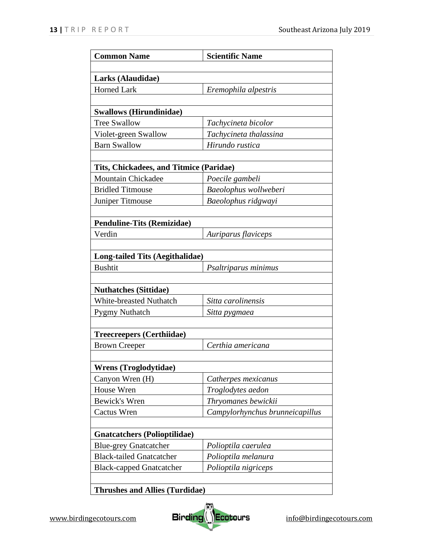| <b>Common Name</b>                      | <b>Scientific Name</b>          |  |
|-----------------------------------------|---------------------------------|--|
|                                         |                                 |  |
| Larks (Alaudidae)                       |                                 |  |
| <b>Horned Lark</b>                      | Eremophila alpestris            |  |
|                                         |                                 |  |
| <b>Swallows (Hirundinidae)</b>          |                                 |  |
| <b>Tree Swallow</b>                     | Tachycineta bicolor             |  |
| Violet-green Swallow                    | Tachycineta thalassina          |  |
| <b>Barn Swallow</b>                     | Hirundo rustica                 |  |
|                                         |                                 |  |
| Tits, Chickadees, and Titmice (Paridae) |                                 |  |
| <b>Mountain Chickadee</b>               | Poecile gambeli                 |  |
| <b>Bridled Titmouse</b>                 | Baeolophus wollweberi           |  |
| Juniper Titmouse                        | Baeolophus ridgwayi             |  |
|                                         |                                 |  |
| <b>Penduline-Tits (Remizidae)</b>       |                                 |  |
| Verdin                                  | Auriparus flaviceps             |  |
|                                         |                                 |  |
| <b>Long-tailed Tits (Aegithalidae)</b>  |                                 |  |
| <b>Bushtit</b>                          | Psaltriparus minimus            |  |
|                                         |                                 |  |
| <b>Nuthatches (Sittidae)</b>            |                                 |  |
| <b>White-breasted Nuthatch</b>          | Sitta carolinensis              |  |
| <b>Pygmy Nuthatch</b>                   | Sitta pygmaea                   |  |
|                                         |                                 |  |
| <b>Treecreepers (Certhiidae)</b>        |                                 |  |
| <b>Brown Creeper</b>                    | Certhia americana               |  |
|                                         |                                 |  |
| <b>Wrens (Troglodytidae)</b>            |                                 |  |
| Canyon Wren (H)                         | Catherpes mexicanus             |  |
| House Wren                              | Troglodytes aedon               |  |
| Bewick's Wren                           | Thryomanes bewickii             |  |
| Cactus Wren                             | Campylorhynchus brunneicapillus |  |
|                                         |                                 |  |
| <b>Gnatcatchers (Polioptilidae)</b>     |                                 |  |
| <b>Blue-grey Gnatcatcher</b>            | Polioptila caerulea             |  |
| <b>Black-tailed Gnatcatcher</b>         | Polioptila melanura             |  |
| <b>Black-capped Gnatcatcher</b>         | Polioptila nigriceps            |  |
|                                         |                                 |  |
| <b>Thrushes and Allies (Turdidae)</b>   |                                 |  |

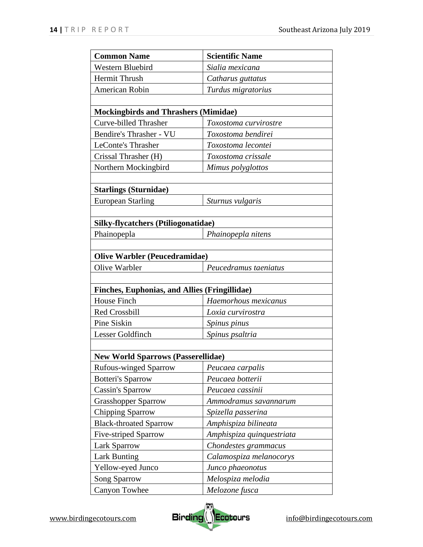| <b>Common Name</b>                                   | <b>Scientific Name</b>    |  |
|------------------------------------------------------|---------------------------|--|
| <b>Western Bluebird</b>                              | Sialia mexicana           |  |
| Hermit Thrush                                        | Catharus guttatus         |  |
| American Robin                                       | Turdus migratorius        |  |
|                                                      |                           |  |
| <b>Mockingbirds and Thrashers (Mimidae)</b>          |                           |  |
| <b>Curve-billed Thrasher</b>                         | Toxostoma curvirostre     |  |
| Bendire's Thrasher - VU                              | Toxostoma bendirei        |  |
| <b>LeConte's Thrasher</b>                            | Toxostoma lecontei        |  |
| Crissal Thrasher (H)                                 | Toxostoma crissale        |  |
| Northern Mockingbird                                 | Mimus polyglottos         |  |
|                                                      |                           |  |
| <b>Starlings (Sturnidae)</b>                         |                           |  |
| <b>European Starling</b>                             | Sturnus vulgaris          |  |
|                                                      |                           |  |
| <b>Silky-flycatchers (Ptiliogonatidae)</b>           |                           |  |
| Phainopepla                                          | Phainopepla nitens        |  |
|                                                      |                           |  |
| <b>Olive Warbler (Peucedramidae)</b>                 |                           |  |
| Olive Warbler                                        | Peucedramus taeniatus     |  |
|                                                      |                           |  |
| <b>Finches, Euphonias, and Allies (Fringillidae)</b> |                           |  |
| <b>House Finch</b>                                   | Haemorhous mexicanus      |  |
| Red Crossbill                                        | Loxia curvirostra         |  |
| Pine Siskin                                          | Spinus pinus              |  |
| Lesser Goldfinch                                     | Spinus psaltria           |  |
|                                                      |                           |  |
| <b>New World Sparrows (Passerellidae)</b>            |                           |  |
| <b>Rufous-winged Sparrow</b>                         | Peucaea carpalis          |  |
| <b>Botteri's Sparrow</b>                             | Peucaea botterii          |  |
| Cassin's Sparrow                                     | Peucaea cassinii          |  |
| <b>Grasshopper Sparrow</b>                           | Ammodramus savannarum     |  |
| Chipping Sparrow                                     | Spizella passerina        |  |
| <b>Black-throated Sparrow</b>                        | Amphispiza bilineata      |  |
| <b>Five-striped Sparrow</b>                          | Amphispiza quinquestriata |  |
| <b>Lark Sparrow</b>                                  | Chondestes grammacus      |  |
| <b>Lark Bunting</b>                                  | Calamospiza melanocorys   |  |
| Yellow-eyed Junco                                    | Junco phaeonotus          |  |
| <b>Song Sparrow</b>                                  | Melospiza melodia         |  |
| Canyon Towhee                                        | Melozone fusca            |  |

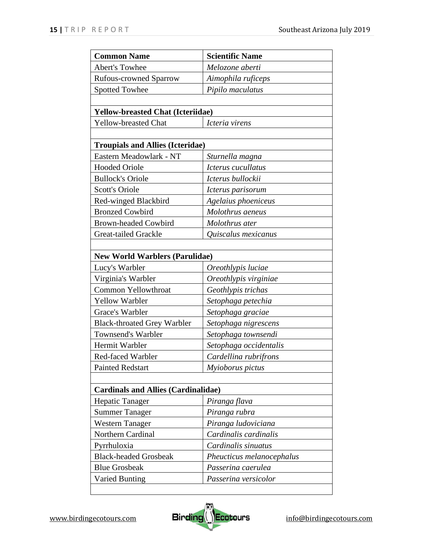| <b>Common Name</b>                         | <b>Scientific Name</b>    |
|--------------------------------------------|---------------------------|
| <b>Abert's Towhee</b>                      | Melozone aberti           |
| <b>Rufous-crowned Sparrow</b>              | Aimophila ruficeps        |
| <b>Spotted Towhee</b>                      | Pipilo maculatus          |
|                                            |                           |
| <b>Yellow-breasted Chat (Icteriidae)</b>   |                           |
| <b>Yellow-breasted Chat</b>                | Icteria virens            |
|                                            |                           |
| <b>Troupials and Allies (Icteridae)</b>    |                           |
| Eastern Meadowlark - NT                    | Sturnella magna           |
| <b>Hooded Oriole</b>                       | Icterus cucullatus        |
| <b>Bullock's Oriole</b>                    | Icterus bullockii         |
| <b>Scott's Oriole</b>                      | Icterus parisorum         |
| Red-winged Blackbird                       | Agelaius phoeniceus       |
| <b>Bronzed Cowbird</b>                     | Molothrus aeneus          |
| <b>Brown-headed Cowbird</b>                | Molothrus ater            |
| <b>Great-tailed Grackle</b>                | Quiscalus mexicanus       |
|                                            |                           |
| <b>New World Warblers (Parulidae)</b>      |                           |
| Lucy's Warbler                             | Oreothlypis luciae        |
| Virginia's Warbler                         | Oreothlypis virginiae     |
| Common Yellowthroat                        | Geothlypis trichas        |
| <b>Yellow Warbler</b>                      | Setophaga petechia        |
| Grace's Warbler                            | Setophaga graciae         |
| <b>Black-throated Grey Warbler</b>         | Setophaga nigrescens      |
| Townsend's Warbler                         | Setophaga townsendi       |
| Hermit Warbler                             | Setophaga occidentalis    |
| Red-faced Warbler                          | Cardellina rubrifrons     |
| <b>Painted Redstart</b>                    | Myioborus pictus          |
|                                            |                           |
| <b>Cardinals and Allies (Cardinalidae)</b> |                           |
| Hepatic Tanager                            | Piranga flava             |
| <b>Summer Tanager</b>                      | Piranga rubra             |
| <b>Western Tanager</b>                     | Piranga ludoviciana       |
| Northern Cardinal                          | Cardinalis cardinalis     |
| Pyrrhuloxia                                | Cardinalis sinuatus       |
| <b>Black-headed Grosbeak</b>               | Pheucticus melanocephalus |
| <b>Blue Grosbeak</b>                       | Passerina caerulea        |
| <b>Varied Bunting</b>                      | Passerina versicolor      |
|                                            |                           |

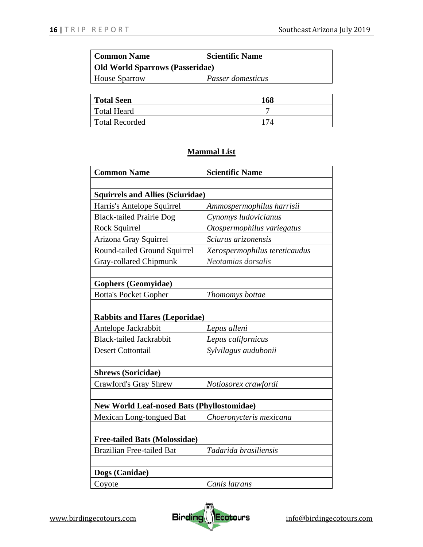| Common Name                     | <b>Scientific Name</b> |
|---------------------------------|------------------------|
| Old World Sparrows (Passeridae) |                        |
| <b>House Sparrow</b>            | Passer domesticus      |

| <b>Total Seen</b>     | 168 |
|-----------------------|-----|
| Total Heard           |     |
| <b>Total Recorded</b> | 174 |

# **Mammal List**

| <b>Common Name</b>                                | <b>Scientific Name</b>        |
|---------------------------------------------------|-------------------------------|
|                                                   |                               |
| <b>Squirrels and Allies (Sciuridae)</b>           |                               |
| Harris's Antelope Squirrel                        | Ammospermophilus harrisii     |
| <b>Black-tailed Prairie Dog</b>                   | Cynomys ludovicianus          |
| Rock Squirrel                                     | Otospermophilus variegatus    |
| Arizona Gray Squirrel                             | Sciurus arizonensis           |
| Round-tailed Ground Squirrel                      | Xerospermophilus tereticaudus |
| Gray-collared Chipmunk                            | Neotamias dorsalis            |
|                                                   |                               |
| <b>Gophers (Geomyidae)</b>                        |                               |
| <b>Botta's Pocket Gopher</b>                      | Thomomys bottae               |
|                                                   |                               |
| <b>Rabbits and Hares (Leporidae)</b>              |                               |
| Antelope Jackrabbit                               | Lepus alleni                  |
| <b>Black-tailed Jackrabbit</b>                    | Lepus californicus            |
| <b>Desert Cottontail</b>                          | Sylvilagus audubonii          |
|                                                   |                               |
| <b>Shrews (Soricidae)</b>                         |                               |
| <b>Crawford's Gray Shrew</b>                      | Notiosorex crawfordi          |
|                                                   |                               |
| <b>New World Leaf-nosed Bats (Phyllostomidae)</b> |                               |
| Mexican Long-tongued Bat                          | Choeronycteris mexicana       |
|                                                   |                               |
| <b>Free-tailed Bats (Molossidae)</b>              |                               |
| <b>Brazilian Free-tailed Bat</b>                  | Tadarida brasiliensis         |
|                                                   |                               |
| Dogs (Canidae)                                    |                               |
| Coyote                                            | Canis latrans                 |